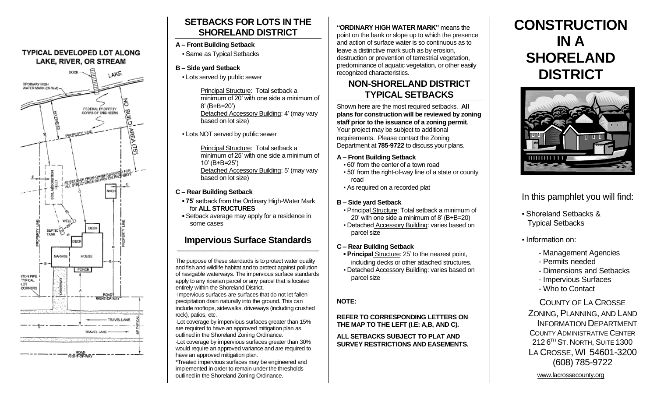#### **TYPICAL DEVELOPED LOT ALONG** LAKE, RIVER, OR STREAM



# **SETBACKS FOR LOTS IN THE SHORELAND DISTRICT**

#### **A – Front Building Setback**

**• Same as Typical Setbacks** 

#### **B – Side yard Setback**

▪ Lots served by public sewer

Principal Structure: Total setback a minimum of 20' with one side a minimum of 8' (B+B=20') Detached Accessory Building: 4' (may vary based on lot size)

**.** Lots NOT served by public sewer

Principal Structure: Total setback a minimum of 25' with one side a minimum of 10' (B+B=25') Detached Accessory Building: 5' (may vary based on lot size)

## **C – Rear Building Setback**

- **75**' setback from the Ordinary High-Water Mark for **ALL STRUCTURES**
- **▪** Setback average may apply for a residence in some cases

#### **Impervious Surface Standards**  $\mathcal{L}_\text{max} = \{ \mathcal{L}_\text{max} \mid \mathcal{L}_\text{max} \}$

The purpose of these standards is to protect water quality and fish and wildlife habitat and to protect against pollution of navigable waterways. The impervious surface standards apply to any riparian parcel or any parcel that is located entirely within the Shoreland District.

-Impervious surfaces are surfaces that do not let fallen precipitation drain naturally into the ground. This can include rooftops, sidewalks, driveways (including crushed rock), patios, etc.

-Lot coverage by impervious surfaces greater than 15% are required to have an approved mitigation plan as outlined in the Shoreland Zoning Ordinance. -Lot coverage by impervious surfaces greater than 30%

would require an approved variance and are required to have an approved mitigation plan.

\*Treated impervious surfaces may be engineered and implemented in order to remain under the thresholds outlined in the Shoreland Zoning Ordinance.

**"ORDINARY HIGH WATER MARK"** means the point on the bank or slope up to which the presence and action of surface water is so continuous as to leave a distinctive mark such as by erosion, destruction or prevention of terrestrial vegetation, predominance of aquatic vegetation, or other easily recognized characteristics.

## **NON-SHORELAND DISTRICT TYPICAL SETBACKS**

Shown here are the most required setbacks. **All plans for construction will be reviewed by zoning staff prior to the issuance of a zoning permit**. Your project may be subject to additional requirements. Please contact the Zoning Department at **785-9722** to discuss your plans.

#### **A – Front Building Setback**

- 60' from the center of a town road
- 50' from the right-of-way line of a state or county road
- As required on a recorded plat

### **B – Side yard Setback**

- Principal Structure: Total setback a minimum of 20' with one side a minimum of 8' (B+B=20)
- Detached Accessory Building: varies based on parcel size
- **C – Rear Building Setback**
- **Principal Structure: 25' to the nearest point,** including decks or other attached structures.
- **Detached Accessory Building: varies based on** parcel size

#### **NOTE:**

**REFER TO CORRESPONDING LETTERS ON THE MAP TO THE LEFT (I.E: A,B, AND C).**

**ALL SETBACKS SUBJECT TO PLAT AND SURVEY RESTRICTIONS AND EASEMENTS.** 

# **CONSTRUCTION IN A SHORELAND DISTRICT**



# In this pamphlet you will find:

- Shoreland Setbacks & Typical Setbacks
- Information on:
	- Management Agencies
	- Permits needed
	- Dimensions and Setbacks
	- Impervious Surfaces
	- Who to Contact

COUNTY OF LA CROSSE ZONING, PLANNING, AND LAND INFORMATION DEPARTMENT COUNTY ADMINISTRATIVE CENTER 212 6 TH ST. NORTH, SUITE 1300 LA CROSSE, WI 54601-3200 (608) 785-9722

www.lacrossecounty.org